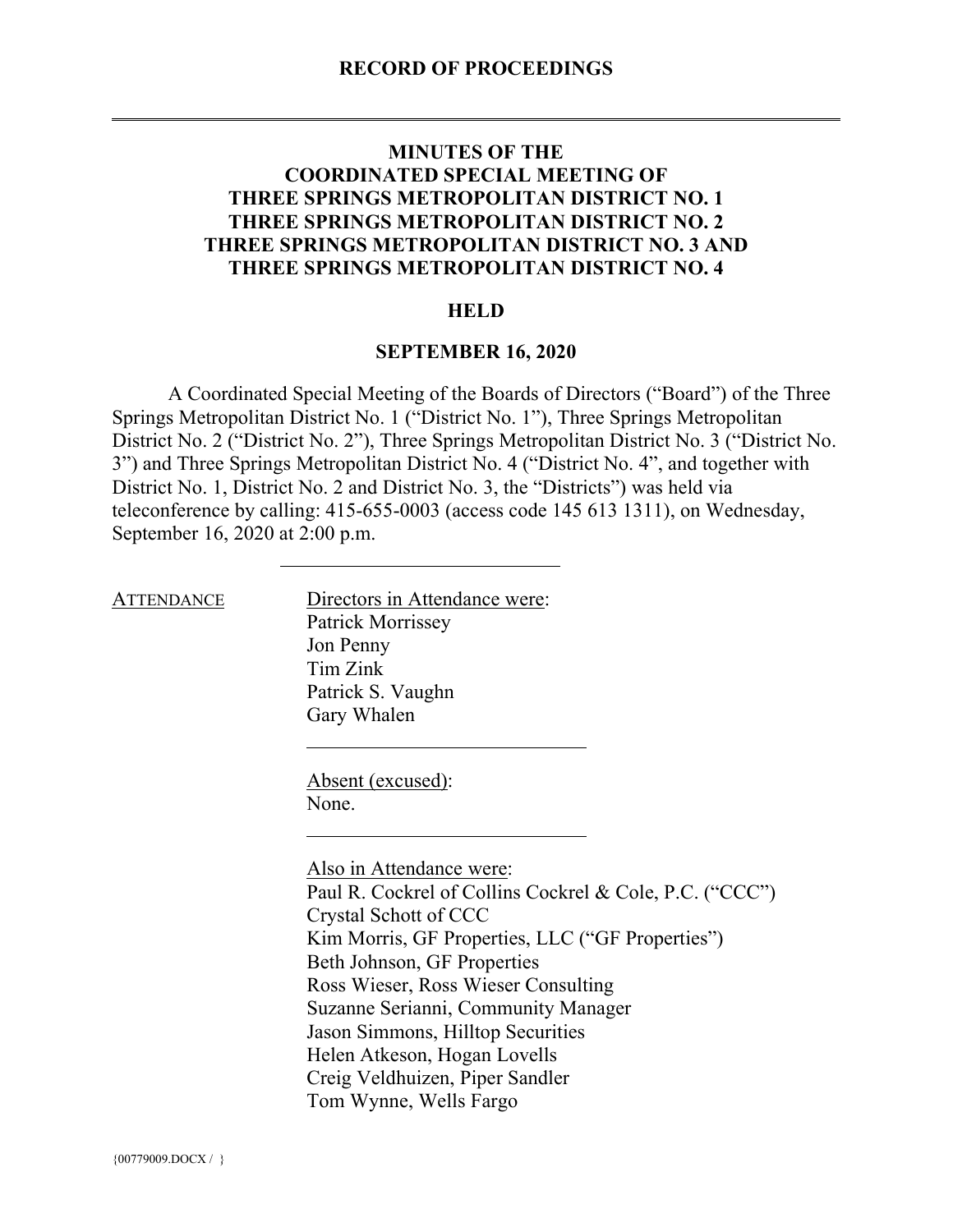# **MINUTES OF THE COORDINATED SPECIAL MEETING OF THREE SPRINGS METROPOLITAN DISTRICT NO. 1 THREE SPRINGS METROPOLITAN DISTRICT NO. 2 THREE SPRINGS METROPOLITAN DISTRICT NO. 3 AND THREE SPRINGS METROPOLITAN DISTRICT NO. 4**

## **HELD**

### **SEPTEMBER 16, 2020**

A Coordinated Special Meeting of the Boards of Directors ("Board") of the Three Springs Metropolitan District No. 1 ("District No. 1"), Three Springs Metropolitan District No. 2 ("District No. 2"), Three Springs Metropolitan District No. 3 ("District No. 3") and Three Springs Metropolitan District No. 4 ("District No. 4", and together with District No. 1, District No. 2 and District No. 3, the "Districts") was held via teleconference by calling: 415-655-0003 (access code 145 613 1311), on Wednesday, September 16, 2020 at 2:00 p.m.

ATTENDANCE Directors in Attendance were: Patrick Morrissey Jon Penny Tim Zink Patrick S. Vaughn Gary Whalen

> Absent (excused): None.

Also in Attendance were: Paul R. Cockrel of Collins Cockrel & Cole, P.C. ("CCC") Crystal Schott of CCC Kim Morris, GF Properties, LLC ("GF Properties") Beth Johnson, GF Properties Ross Wieser, Ross Wieser Consulting Suzanne Serianni, Community Manager Jason Simmons, Hilltop Securities Helen Atkeson, Hogan Lovells Creig Veldhuizen, Piper Sandler Tom Wynne, Wells Fargo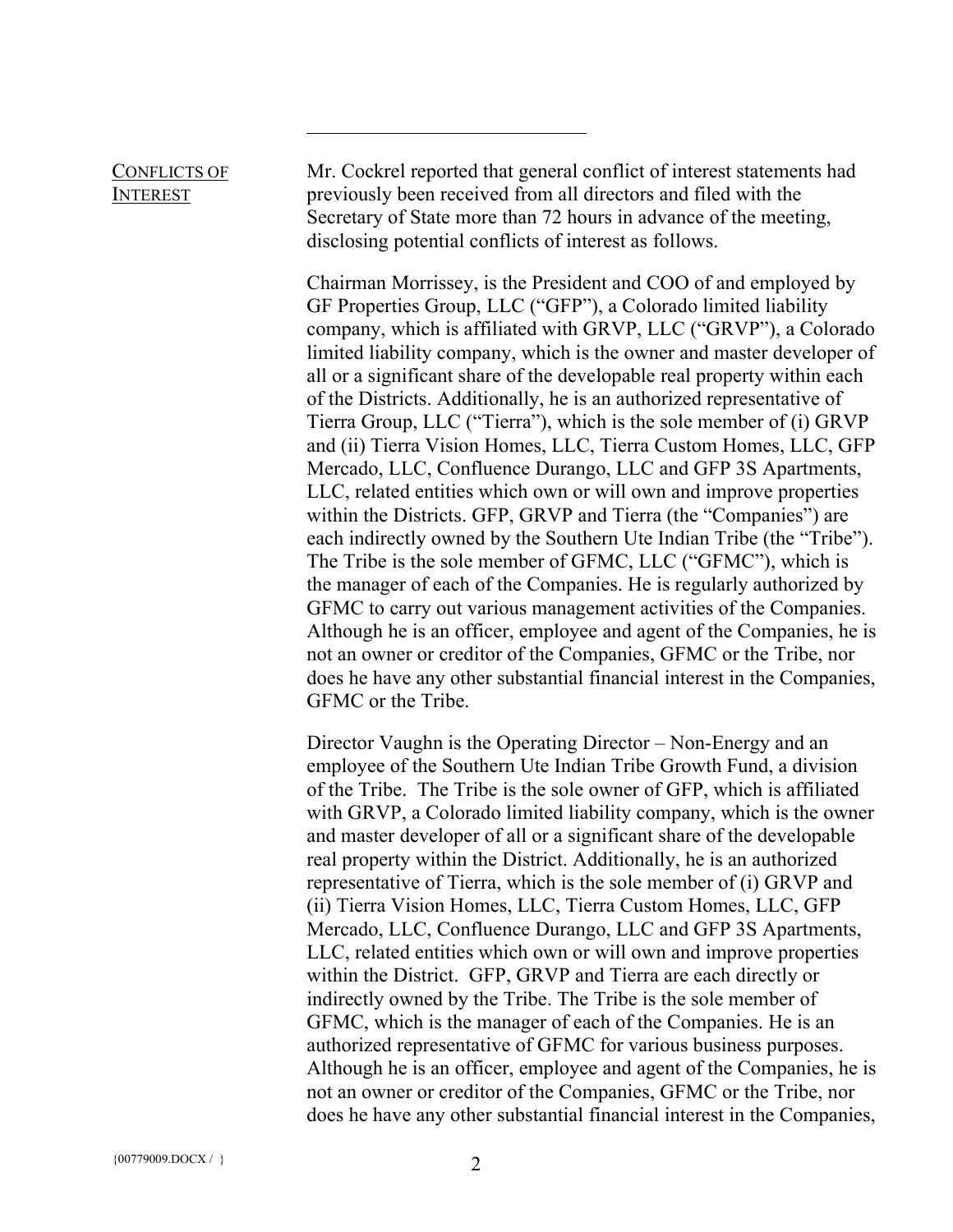### CONFLICTS OF INTEREST Mr. Cockrel reported that general conflict of interest statements had previously been received from all directors and filed with the Secretary of State more than 72 hours in advance of the meeting,

disclosing potential conflicts of interest as follows.

Chairman Morrissey, is the President and COO of and employed by GF Properties Group, LLC ("GFP"), a Colorado limited liability company, which is affiliated with GRVP, LLC ("GRVP"), a Colorado limited liability company, which is the owner and master developer of all or a significant share of the developable real property within each of the Districts. Additionally, he is an authorized representative of Tierra Group, LLC ("Tierra"), which is the sole member of (i) GRVP and (ii) Tierra Vision Homes, LLC, Tierra Custom Homes, LLC, GFP Mercado, LLC, Confluence Durango, LLC and GFP 3S Apartments, LLC, related entities which own or will own and improve properties within the Districts. GFP, GRVP and Tierra (the "Companies") are each indirectly owned by the Southern Ute Indian Tribe (the "Tribe"). The Tribe is the sole member of GFMC, LLC ("GFMC"), which is the manager of each of the Companies. He is regularly authorized by GFMC to carry out various management activities of the Companies. Although he is an officer, employee and agent of the Companies, he is not an owner or creditor of the Companies, GFMC or the Tribe, nor does he have any other substantial financial interest in the Companies, GFMC or the Tribe.

Director Vaughn is the Operating Director – Non-Energy and an employee of the Southern Ute Indian Tribe Growth Fund, a division of the Tribe. The Tribe is the sole owner of GFP, which is affiliated with GRVP, a Colorado limited liability company, which is the owner and master developer of all or a significant share of the developable real property within the District. Additionally, he is an authorized representative of Tierra, which is the sole member of (i) GRVP and (ii) Tierra Vision Homes, LLC, Tierra Custom Homes, LLC, GFP Mercado, LLC, Confluence Durango, LLC and GFP 3S Apartments, LLC, related entities which own or will own and improve properties within the District. GFP, GRVP and Tierra are each directly or indirectly owned by the Tribe. The Tribe is the sole member of GFMC, which is the manager of each of the Companies. He is an authorized representative of GFMC for various business purposes. Although he is an officer, employee and agent of the Companies, he is not an owner or creditor of the Companies, GFMC or the Tribe, nor does he have any other substantial financial interest in the Companies,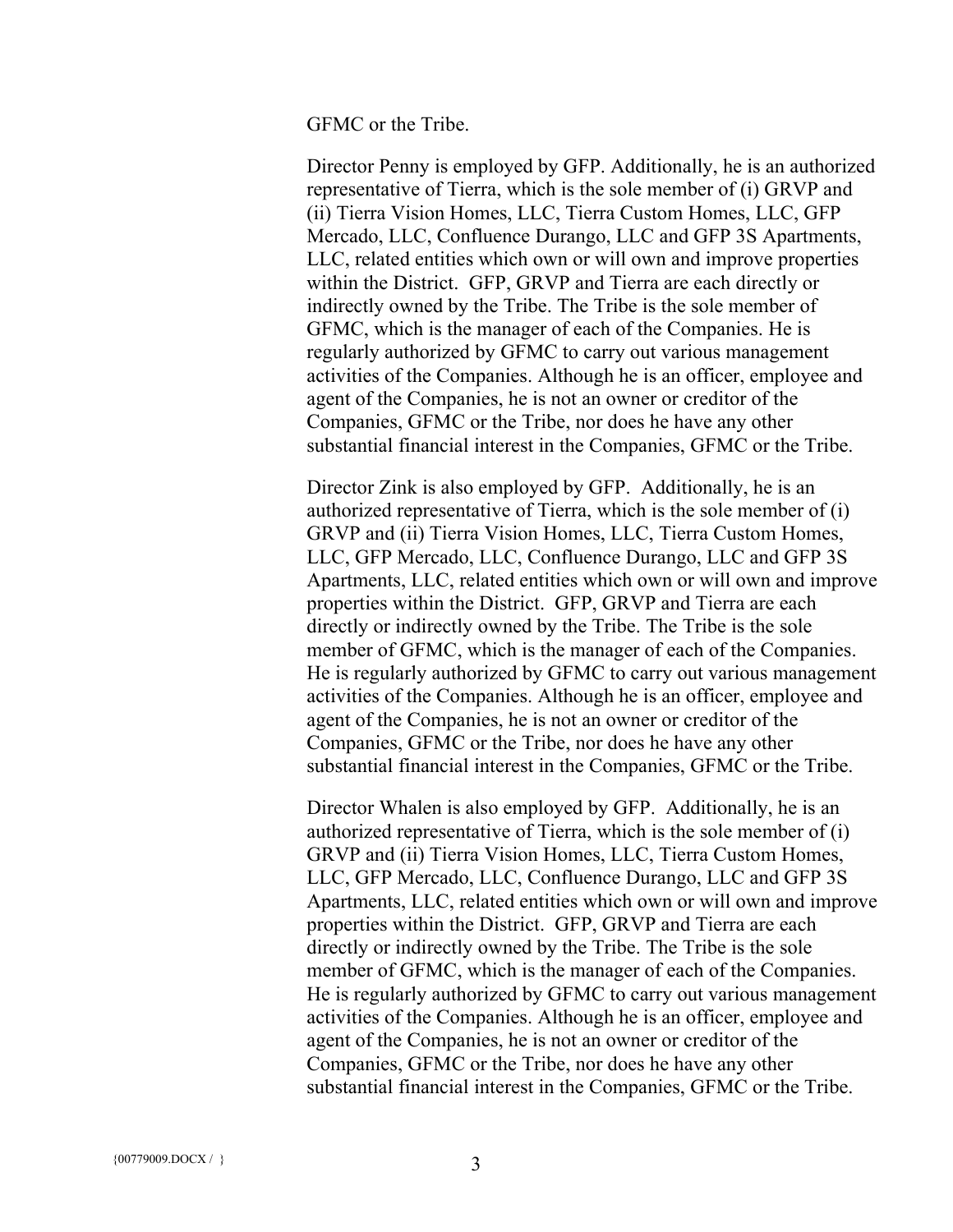GFMC or the Tribe.

Director Penny is employed by GFP. Additionally, he is an authorized representative of Tierra, which is the sole member of (i) GRVP and (ii) Tierra Vision Homes, LLC, Tierra Custom Homes, LLC, GFP Mercado, LLC, Confluence Durango, LLC and GFP 3S Apartments, LLC, related entities which own or will own and improve properties within the District. GFP, GRVP and Tierra are each directly or indirectly owned by the Tribe. The Tribe is the sole member of GFMC, which is the manager of each of the Companies. He is regularly authorized by GFMC to carry out various management activities of the Companies. Although he is an officer, employee and agent of the Companies, he is not an owner or creditor of the Companies, GFMC or the Tribe, nor does he have any other substantial financial interest in the Companies, GFMC or the Tribe.

Director Zink is also employed by GFP. Additionally, he is an authorized representative of Tierra, which is the sole member of (i) GRVP and (ii) Tierra Vision Homes, LLC, Tierra Custom Homes, LLC, GFP Mercado, LLC, Confluence Durango, LLC and GFP 3S Apartments, LLC, related entities which own or will own and improve properties within the District. GFP, GRVP and Tierra are each directly or indirectly owned by the Tribe. The Tribe is the sole member of GFMC, which is the manager of each of the Companies. He is regularly authorized by GFMC to carry out various management activities of the Companies. Although he is an officer, employee and agent of the Companies, he is not an owner or creditor of the Companies, GFMC or the Tribe, nor does he have any other substantial financial interest in the Companies, GFMC or the Tribe.

Director Whalen is also employed by GFP. Additionally, he is an authorized representative of Tierra, which is the sole member of (i) GRVP and (ii) Tierra Vision Homes, LLC, Tierra Custom Homes, LLC, GFP Mercado, LLC, Confluence Durango, LLC and GFP 3S Apartments, LLC, related entities which own or will own and improve properties within the District. GFP, GRVP and Tierra are each directly or indirectly owned by the Tribe. The Tribe is the sole member of GFMC, which is the manager of each of the Companies. He is regularly authorized by GFMC to carry out various management activities of the Companies. Although he is an officer, employee and agent of the Companies, he is not an owner or creditor of the Companies, GFMC or the Tribe, nor does he have any other substantial financial interest in the Companies, GFMC or the Tribe.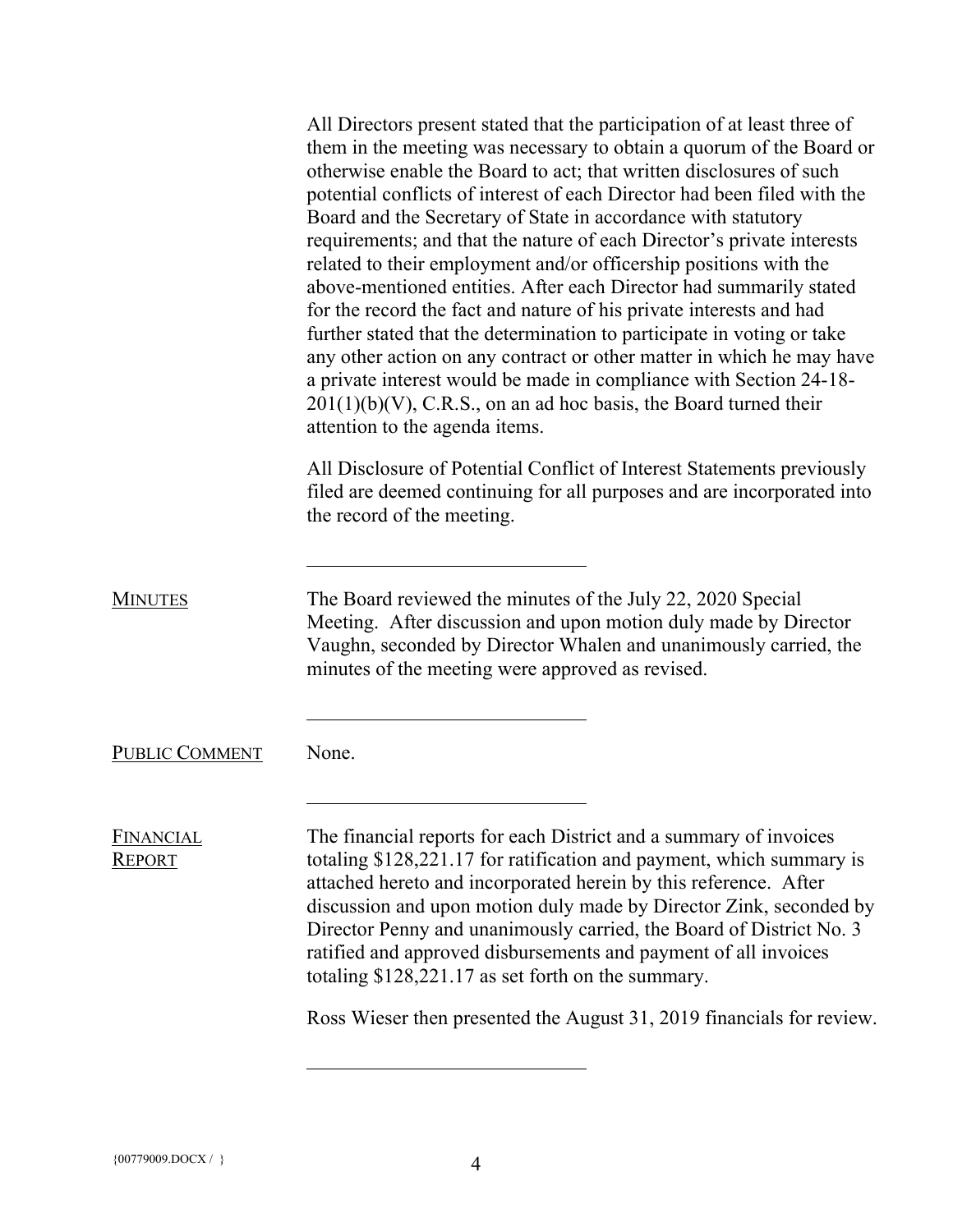All Directors present stated that the participation of at least three of them in the meeting was necessary to obtain a quorum of the Board or otherwise enable the Board to act; that written disclosures of such potential conflicts of interest of each Director had been filed with the Board and the Secretary of State in accordance with statutory requirements; and that the nature of each Director's private interests related to their employment and/or officership positions with the above-mentioned entities. After each Director had summarily stated for the record the fact and nature of his private interests and had further stated that the determination to participate in voting or take any other action on any contract or other matter in which he may have a private interest would be made in compliance with Section 24-18-  $201(1)(b)(V)$ , C.R.S., on an ad hoc basis, the Board turned their attention to the agenda items. All Disclosure of Potential Conflict of Interest Statements previously filed are deemed continuing for all purposes and are incorporated into the record of the meeting. MINUTES The Board reviewed the minutes of the July 22, 2020 Special Meeting. After discussion and upon motion duly made by Director Vaughn, seconded by Director Whalen and unanimously carried, the minutes of the meeting were approved as revised. PUBLIC COMMENT None. FINANCIAL REPORT The financial reports for each District and a summary of invoices totaling \$128,221.17 for ratification and payment, which summary is attached hereto and incorporated herein by this reference. After discussion and upon motion duly made by Director Zink, seconded by Director Penny and unanimously carried, the Board of District No. 3 ratified and approved disbursements and payment of all invoices totaling \$128,221.17 as set forth on the summary. Ross Wieser then presented the August 31, 2019 financials for review.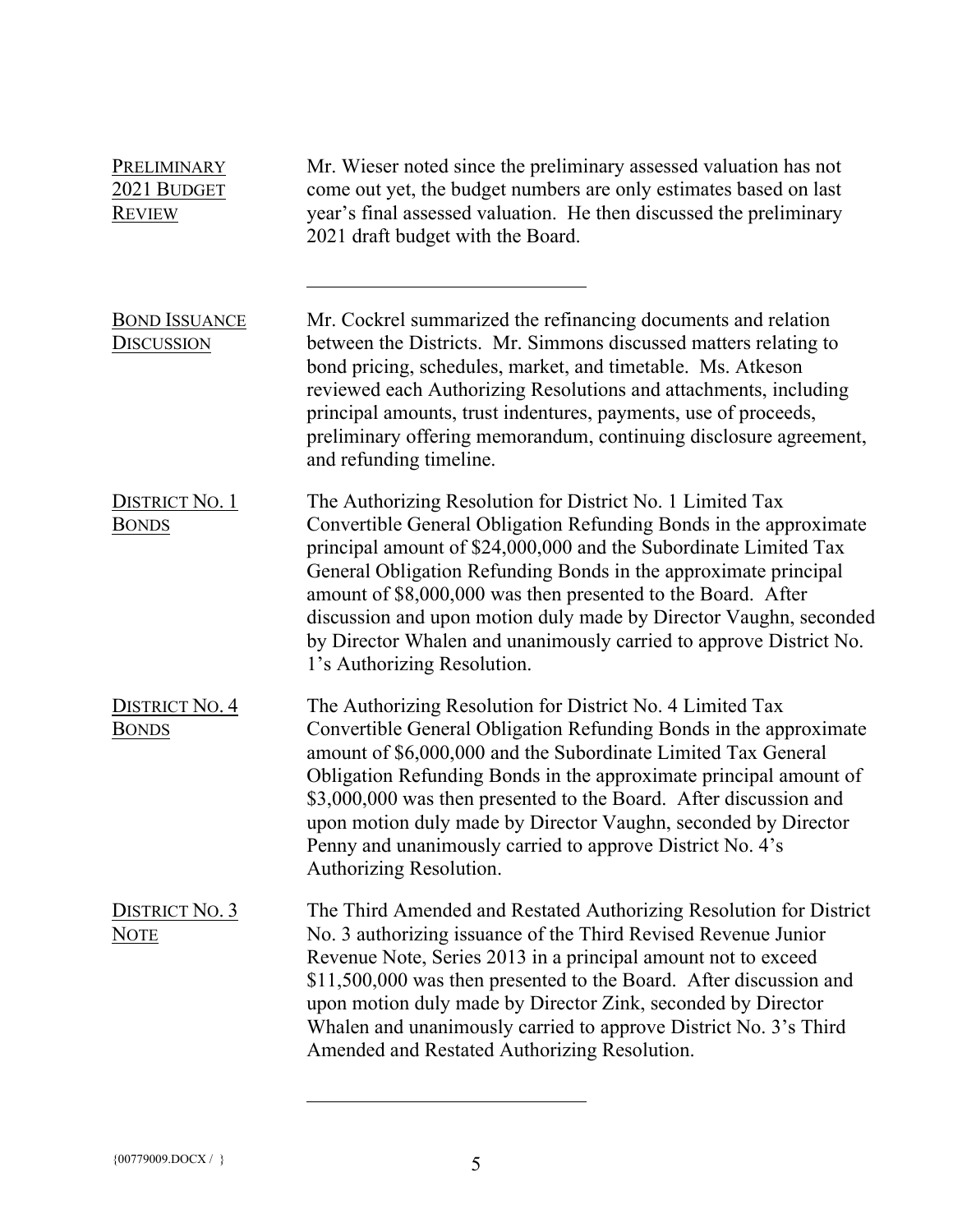| PRELIMINARY<br>2021 BUDGET<br><b>REVIEW</b> | Mr. Wieser noted since the preliminary assessed valuation has not<br>come out yet, the budget numbers are only estimates based on last<br>year's final assessed valuation. He then discussed the preliminary<br>2021 draft budget with the Board.                                                                                                                                                                                                                                                               |
|---------------------------------------------|-----------------------------------------------------------------------------------------------------------------------------------------------------------------------------------------------------------------------------------------------------------------------------------------------------------------------------------------------------------------------------------------------------------------------------------------------------------------------------------------------------------------|
| <b>BOND ISSUANCE</b><br><u>Discussion</u>   | Mr. Cockrel summarized the refinancing documents and relation<br>between the Districts. Mr. Simmons discussed matters relating to<br>bond pricing, schedules, market, and timetable. Ms. Atkeson<br>reviewed each Authorizing Resolutions and attachments, including<br>principal amounts, trust indentures, payments, use of proceeds,<br>preliminary offering memorandum, continuing disclosure agreement,<br>and refunding timeline.                                                                         |
| DISTRICT No. 1<br><b>BONDS</b>              | The Authorizing Resolution for District No. 1 Limited Tax<br>Convertible General Obligation Refunding Bonds in the approximate<br>principal amount of \$24,000,000 and the Subordinate Limited Tax<br>General Obligation Refunding Bonds in the approximate principal<br>amount of \$8,000,000 was then presented to the Board. After<br>discussion and upon motion duly made by Director Vaughn, seconded<br>by Director Whalen and unanimously carried to approve District No.<br>1's Authorizing Resolution. |
| <b>DISTRICT NO. 4</b><br><b>BONDS</b>       | The Authorizing Resolution for District No. 4 Limited Tax<br>Convertible General Obligation Refunding Bonds in the approximate<br>amount of \$6,000,000 and the Subordinate Limited Tax General<br>Obligation Refunding Bonds in the approximate principal amount of<br>\$3,000,000 was then presented to the Board. After discussion and<br>upon motion duly made by Director Vaughn, seconded by Director<br>Penny and unanimously carried to approve District No. 4's<br>Authorizing Resolution.             |
| DISTRICT No. 3<br><b>NOTE</b>               | The Third Amended and Restated Authorizing Resolution for District<br>No. 3 authorizing issuance of the Third Revised Revenue Junior<br>Revenue Note, Series 2013 in a principal amount not to exceed<br>\$11,500,000 was then presented to the Board. After discussion and<br>upon motion duly made by Director Zink, seconded by Director<br>Whalen and unanimously carried to approve District No. 3's Third<br>Amended and Restated Authorizing Resolution.                                                 |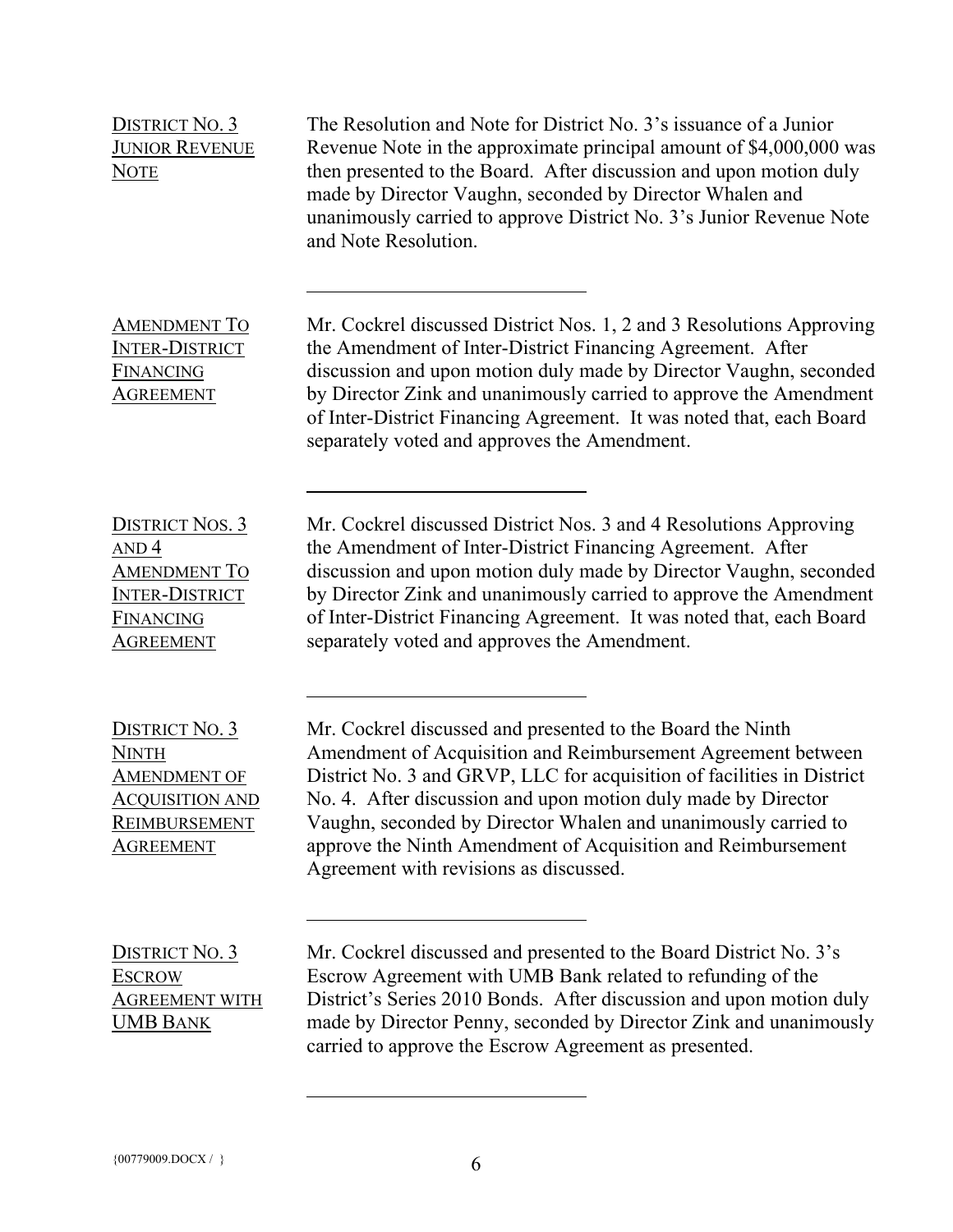| <b>DISTRICT NO. 3</b><br><b>JUNIOR REVENUE</b><br><b>NOTE</b>                                                               | The Resolution and Note for District No. 3's issuance of a Junior<br>Revenue Note in the approximate principal amount of \$4,000,000 was<br>then presented to the Board. After discussion and upon motion duly<br>made by Director Vaughn, seconded by Director Whalen and<br>unanimously carried to approve District No. 3's Junior Revenue Note<br>and Note Resolution.                                                                         |
|-----------------------------------------------------------------------------------------------------------------------------|---------------------------------------------------------------------------------------------------------------------------------------------------------------------------------------------------------------------------------------------------------------------------------------------------------------------------------------------------------------------------------------------------------------------------------------------------|
| <b>AMENDMENT TO</b><br><b>INTER-DISTRICT</b><br>FINANCING<br><b>AGREEMENT</b>                                               | Mr. Cockrel discussed District Nos. 1, 2 and 3 Resolutions Approving<br>the Amendment of Inter-District Financing Agreement. After<br>discussion and upon motion duly made by Director Vaughn, seconded<br>by Director Zink and unanimously carried to approve the Amendment<br>of Inter-District Financing Agreement. It was noted that, each Board<br>separately voted and approves the Amendment.                                              |
| <b>DISTRICT NOS. 3</b><br>AND <sub>4</sub><br><b>AMENDMENT TO</b><br><b>INTER-DISTRICT</b><br>FINANCING<br><b>AGREEMENT</b> | Mr. Cockrel discussed District Nos. 3 and 4 Resolutions Approving<br>the Amendment of Inter-District Financing Agreement. After<br>discussion and upon motion duly made by Director Vaughn, seconded<br>by Director Zink and unanimously carried to approve the Amendment<br>of Inter-District Financing Agreement. It was noted that, each Board<br>separately voted and approves the Amendment.                                                 |
| DISTRICT No. 3<br><b>NINTH</b><br><b>AMENDMENT OF</b><br><b>ACQUISITION AND</b><br><b>REIMBURSEMENT</b><br><b>AGREEMENT</b> | Mr. Cockrel discussed and presented to the Board the Ninth<br>Amendment of Acquisition and Reimbursement Agreement between<br>District No. 3 and GRVP, LLC for acquisition of facilities in District<br>No. 4. After discussion and upon motion duly made by Director<br>Vaughn, seconded by Director Whalen and unanimously carried to<br>approve the Ninth Amendment of Acquisition and Reimbursement<br>Agreement with revisions as discussed. |
| DISTRICT No. 3<br><b>ESCROW</b><br><b>AGREEMENT WITH</b><br><b>UMB BANK</b>                                                 | Mr. Cockrel discussed and presented to the Board District No. 3's<br>Escrow Agreement with UMB Bank related to refunding of the<br>District's Series 2010 Bonds. After discussion and upon motion duly<br>made by Director Penny, seconded by Director Zink and unanimously<br>carried to approve the Escrow Agreement as presented.                                                                                                              |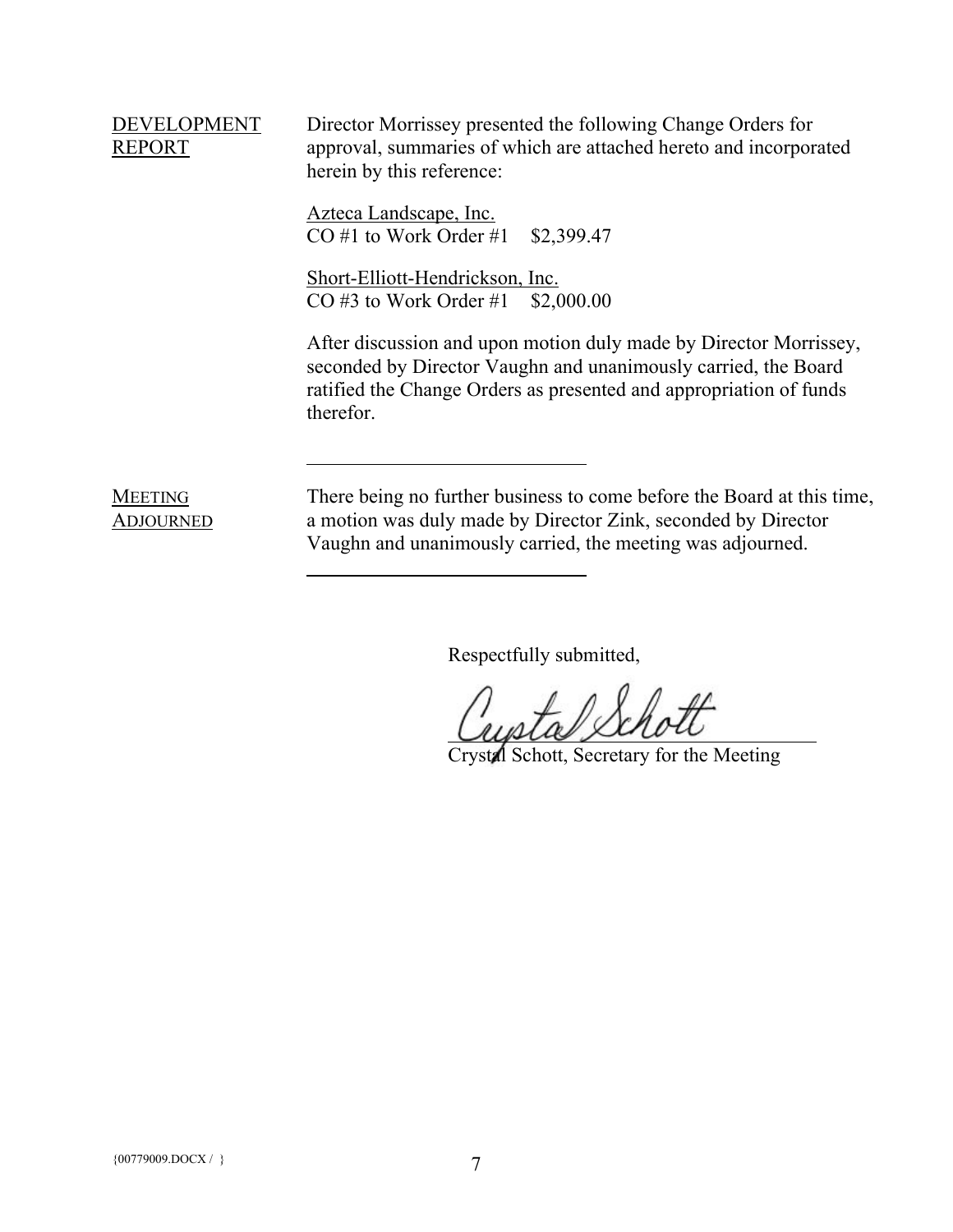# DEVELOPMENT REPORT

Director Morrissey presented the following Change Orders for approval, summaries of which are attached hereto and incorporated herein by this reference:

Azteca Landscape, Inc. CO #1 to Work Order #1 \$2,399.47

Short-Elliott-Hendrickson, Inc. CO #3 to Work Order #1 \$2,000.00

After discussion and upon motion duly made by Director Morrissey, seconded by Director Vaughn and unanimously carried, the Board ratified the Change Orders as presented and appropriation of funds therefor.

### MEETING ADJOURNED

There being no further business to come before the Board at this time, a motion was duly made by Director Zink, seconded by Director Vaughn and unanimously carried, the meeting was adjourned.

Respectfully submitted,

Crystal Schott, Secretary for the Meeting